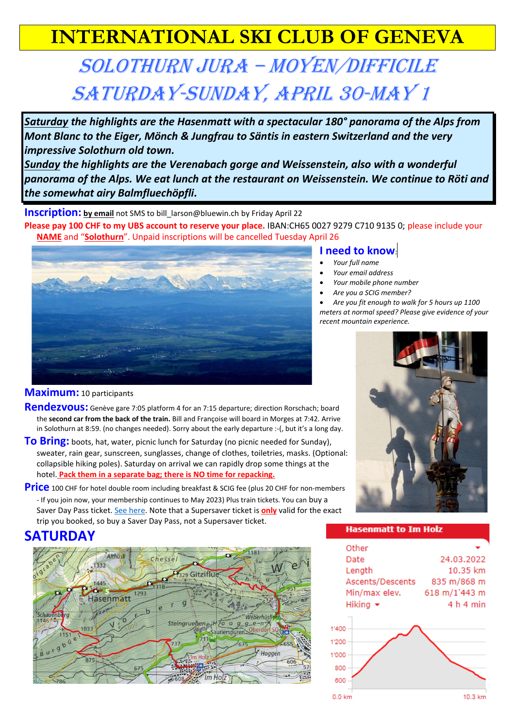# **INTERNATIONAL SKI CLUB OF GENEVA**

# Solothurn Jura – moyen/Difficile Saturday-Sunday, April 30-May 1

*Saturday the highlights are the Hasenmatt with a spectacular 180° panorama of the Alps from Mont Blanc to the Eiger, Mönch & Jungfrau to Säntis in eastern Switzerland and the very impressive Solothurn old town.*

*Sunday the highlights are the Verenabach gorge and Weissenstein, also with a wonderful panorama of the Alps. We eat lunch at the restaurant on Weissenstein. We continue to Röti and the somewhat airy Balmfluechöpfli.*

**Inscription:** by email not SMS to bill larson@bluewin.ch by Friday April 22

**Please pay 100 CHF to my UBS account to reserve your place.** IBAN:CH65 0027 9279 C710 9135 0; please include your **NAME** and "**Solothurn**". Unpaid inscriptions will be cancelled Tuesday April 26



## **Maximum:** 10 participants

- **Rendezvous:** Genève gare 7:05 platform 4 for an 7:15 departure; direction Rorschach; board the **second car from the back of the train.** Bill and Françoise will board in Morges at 7:42. Arrive in Solothurn at 8:59. (no changes needed). Sorry about the early departure :-(, but it's a long day.
- **To Bring:** boots, hat, water, picnic lunch for Saturday (no picnic needed for Sunday), sweater, rain gear, sunscreen, sunglasses, change of clothes, toiletries, masks. (Optional: collapsible hiking poles). Saturday on arrival we can rapidly drop some things at the hotel. **Pack them in a separate bag; there is NO time for repacking.**
- **Price** 100 CHF for hotel double room including breakfast & SCIG fee (plus 20 CHF for non-members - If you join now, your membership continues to May 2023) Plus train tickets. You can buy a Saver Day Pass ticket[. See here.](https://www.sbb.ch/en/travelcards-and-tickets/buying-options/saving.html) Note that a Supersaver ticket is **only** valid for the exact trip you booked, so buy a Saver Day Pass, not a Supersaver ticket.

• *Are you fit enough to walk for 5 hours up 1100 meters at normal speed? Please give evidence of your* 

## **SATURDAY**



#### **Hasenmatt to Im Holz**



**I need to know**: • *Your full name* • *Your email address*  • *Your mobile phone number* • *Are you a SCIG member?* 

*recent mountain experience.*